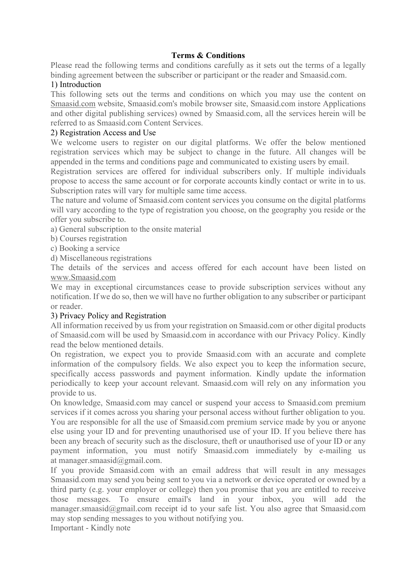# **Terms & Conditions**

Please read the following terms and conditions carefully as it sets out the terms of a legally binding agreement between the subscriber or participant or the reader and Smaasid.com.

# 1) Introduction

This following sets out the terms and conditions on which you may use the content on Smaasid.com website, Smaasid.com's mobile browser site, Smaasid.com instore Applications and other digital publishing services) owned by Smaasid.com, all the services herein will be referred to as Smaasid.com Content Services.

# 2) Registration Access and Use

We welcome users to register on our digital platforms. We offer the below mentioned registration services which may be subject to change in the future. All changes will be appended in the terms and conditions page and communicated to existing users by email.

Registration services are offered for individual subscribers only. If multiple individuals propose to access the same account or for corporate accounts kindly contact or write in to us. Subscription rates will vary for multiple same time access.

The nature and volume of Smaasid.com content services you consume on the digital platforms will vary according to the type of registration you choose, on the geography you reside or the offer you subscribe to.

a) General subscription to the onsite material

b) Courses registration

c) Booking a service

d) Miscellaneous registrations

The details of the services and access offered for each account have been listed on www.Smaasid.com

We may in exceptional circumstances cease to provide subscription services without any notification. If we do so, then we will have no further obligation to any subscriber or participant or reader.

### 3) Privacy Policy and Registration

All information received by us from your registration on Smaasid.com or other digital products of Smaasid.com will be used by Smaasid.com in accordance with our Privacy Policy. Kindly read the below mentioned details.

On registration, we expect you to provide Smaasid.com with an accurate and complete information of the compulsory fields. We also expect you to keep the information secure, specifically access passwords and payment information. Kindly update the information periodically to keep your account relevant. Smaasid.com will rely on any information you provide to us.

On knowledge, Smaasid.com may cancel or suspend your access to Smaasid.com premium services if it comes across you sharing your personal access without further obligation to you. You are responsible for all the use of Smaasid.com premium service made by you or anyone else using your ID and for preventing unauthorised use of your ID. If you believe there has been any breach of security such as the disclosure, theft or unauthorised use of your ID or any payment information, you must notify Smaasid.com immediately by e-mailing us at manager.smaasid@gmail.com.

If you provide Smaasid.com with an email address that will result in any messages Smaasid.com may send you being sent to you via a network or device operated or owned by a third party (e.g. your employer or college) then you promise that you are entitled to receive those messages. To ensure email's land in your inbox, you will add the manager.smaasid@gmail.com receipt id to your safe list. You also agree that Smaasid.com may stop sending messages to you without notifying you.

Important - Kindly note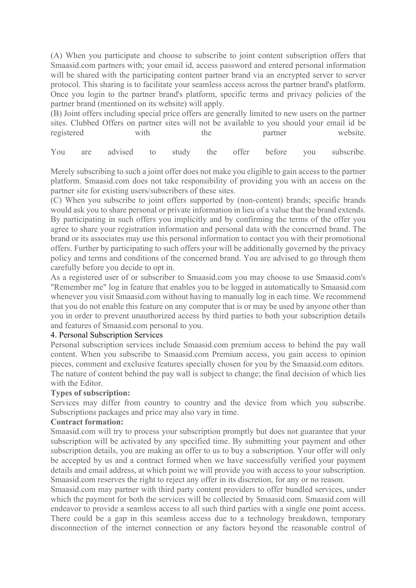(A) When you participate and choose to subscribe to joint content subscription offers that Smaasid.com partners with; your email id, access password and entered personal information will be shared with the participating content partner brand via an encrypted server to server protocol. This sharing is to facilitate your seamless access across the partner brand's platform. Once you login to the partner brand's platform, specific terms and privacy policies of the partner brand (mentioned on its website) will apply.

(B) Joint offers including special price offers are generally limited to new users on the partner sites. Clubbed Offers on partner sites will not be available to you should your email id be registered with the partner website.

You are advised to study the offer before you subscribe.

Merely subscribing to such a joint offer does not make you eligible to gain access to the partner platform. Smaasid.com does not take responsibility of providing you with an access on the partner site for existing users/subscribers of these sites.

(C) When you subscribe to joint offers supported by (non-content) brands; specific brands would ask you to share personal or private information in lieu of a value that the brand extends. By participating in such offers you implicitly and by confirming the terms of the offer you agree to share your registration information and personal data with the concerned brand. The brand or its associates may use this personal information to contact you with their promotional offers. Further by participating to such offers your will be additionally governed by the privacy policy and terms and conditions of the concerned brand. You are advised to go through them carefully before you decide to opt in.

As a registered user of or subscriber to Smaasid.com you may choose to use Smaasid.com's "Remember me" log in feature that enables you to be logged in automatically to Smaasid.com whenever you visit Smaasid.com without having to manually log in each time. We recommend that you do not enable this feature on any computer that is or may be used by anyone other than you in order to prevent unauthorized access by third parties to both your subscription details and features of Smaasid.com personal to you.

### 4. Personal Subscription Services

Personal subscription services include Smaasid.com premium access to behind the pay wall content. When you subscribe to Smaasid.com Premium access, you gain access to opinion pieces, comment and exclusive features specially chosen for you by the Smaasid.com editors. The nature of content behind the pay wall is subject to change; the final decision of which lies with the Editor.

### **Types of subscription:**

Services may differ from country to country and the device from which you subscribe. Subscriptions packages and price may also vary in time.

### **Contract formation:**

Smaasid.com will try to process your subscription promptly but does not guarantee that your subscription will be activated by any specified time. By submitting your payment and other subscription details, you are making an offer to us to buy a subscription. Your offer will only be accepted by us and a contract formed when we have successfully verified your payment details and email address, at which point we will provide you with access to your subscription. Smaasid.com reserves the right to reject any offer in its discretion, for any or no reason.

Smaasid.com may partner with third party content providers to offer bundled services, under which the payment for both the services will be collected by Smaasid.com. Smaasid.com will endeavor to provide a seamless access to all such third parties with a single one point access. There could be a gap in this seamless access due to a technology breakdown, temporary disconnection of the internet connection or any factors beyond the reasonable control of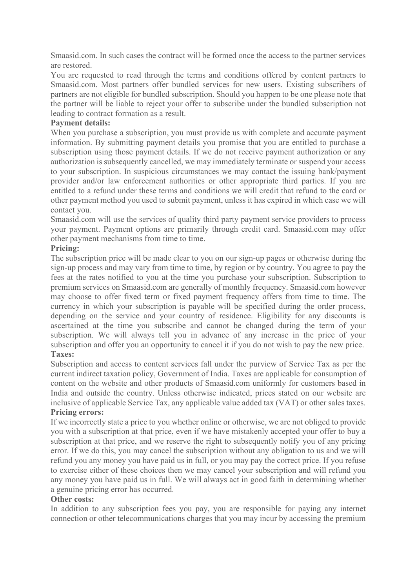Smaasid.com. In such cases the contract will be formed once the access to the partner services are restored.

You are requested to read through the terms and conditions offered by content partners to Smaasid.com. Most partners offer bundled services for new users. Existing subscribers of partners are not eligible for bundled subscription. Should you happen to be one please note that the partner will be liable to reject your offer to subscribe under the bundled subscription not leading to contract formation as a result.

# **Payment details:**

When you purchase a subscription, you must provide us with complete and accurate payment information. By submitting payment details you promise that you are entitled to purchase a subscription using those payment details. If we do not receive payment authorization or any authorization is subsequently cancelled, we may immediately terminate or suspend your access to your subscription. In suspicious circumstances we may contact the issuing bank/payment provider and/or law enforcement authorities or other appropriate third parties. If you are entitled to a refund under these terms and conditions we will credit that refund to the card or other payment method you used to submit payment, unless it has expired in which case we will contact you.

Smaasid.com will use the services of quality third party payment service providers to process your payment. Payment options are primarily through credit card. Smaasid.com may offer other payment mechanisms from time to time.

# **Pricing:**

The subscription price will be made clear to you on our sign-up pages or otherwise during the sign-up process and may vary from time to time, by region or by country. You agree to pay the fees at the rates notified to you at the time you purchase your subscription. Subscription to premium services on Smaasid.com are generally of monthly frequency. Smaasid.com however may choose to offer fixed term or fixed payment frequency offers from time to time. The currency in which your subscription is payable will be specified during the order process, depending on the service and your country of residence. Eligibility for any discounts is ascertained at the time you subscribe and cannot be changed during the term of your subscription. We will always tell you in advance of any increase in the price of your subscription and offer you an opportunity to cancel it if you do not wish to pay the new price. **Taxes:**

Subscription and access to content services fall under the purview of Service Tax as per the current indirect taxation policy, Government of India. Taxes are applicable for consumption of content on the website and other products of Smaasid.com uniformly for customers based in India and outside the country. Unless otherwise indicated, prices stated on our website are inclusive of applicable Service Tax, any applicable value added tax (VAT) or other sales taxes. **Pricing errors:**

If we incorrectly state a price to you whether online or otherwise, we are not obliged to provide you with a subscription at that price, even if we have mistakenly accepted your offer to buy a subscription at that price, and we reserve the right to subsequently notify you of any pricing error. If we do this, you may cancel the subscription without any obligation to us and we will refund you any money you have paid us in full, or you may pay the correct price. If you refuse to exercise either of these choices then we may cancel your subscription and will refund you any money you have paid us in full. We will always act in good faith in determining whether a genuine pricing error has occurred.

### **Other costs:**

In addition to any subscription fees you pay, you are responsible for paying any internet connection or other telecommunications charges that you may incur by accessing the premium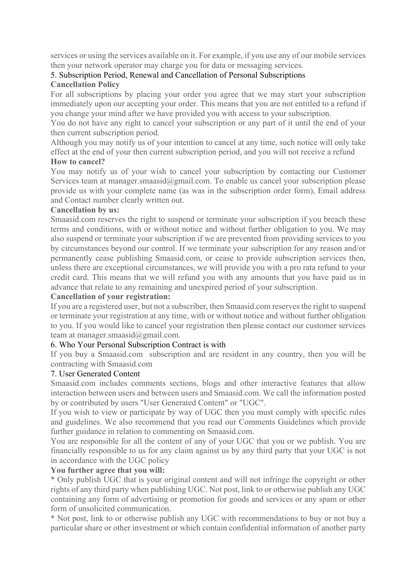services or using the services available on it. For example, if you use any of our mobile services then your network operator may charge you for data or messaging services.

# 5. Subscription Period, Renewal and Cancellation of Personal Subscriptions

# **Cancellation Policy**

For all subscriptions by placing your order you agree that we may start your subscription immediately upon our accepting your order. This means that you are not entitled to a refund if you change your mind after we have provided you with access to your subscription.

You do not have any right to cancel your subscription or any part of it until the end of your then current subscription period.

Although you may notify us of your intention to cancel at any time, such notice will only take effect at the end of your then current subscription period, and you will not receive a refund **How to cancel?**

You may notify us of your wish to cancel your subscription by contacting our Customer Services team at manager.smaasid@gmail.com. To enable us cancel your subscription please provide us with your complete name (as was in the subscription order form), Email address and Contact number clearly written out.

# **Cancellation by us:**

Smaasid.com reserves the right to suspend or terminate your subscription if you breach these terms and conditions, with or without notice and without further obligation to you. We may also suspend or terminate your subscription if we are prevented from providing services to you by circumstances beyond our control. If we terminate your subscription for any reason and/or permanently cease publishing Smaasid.com, or cease to provide subscription services then, unless there are exceptional circumstances, we will provide you with a pro rata refund to your credit card. This means that we will refund you with any amounts that you have paid us in advance that relate to any remaining and unexpired period of your subscription.

# **Cancellation of your registration:**

If you are a registered user, but not a subscriber, then Smaasid.com reserves the right to suspend or terminate your registration at any time, with or without notice and without further obligation to you. If you would like to cancel your registration then please contact our customer services team at manager.smaasid@gmail.com.

# 6. Who Your Personal Subscription Contract is with

If you buy a Smaasid.com subscription and are resident in any country, then you will be contracting with Smaasid.com

### 7. User Generated Content

Smaasid.com includes comments sections, blogs and other interactive features that allow interaction between users and between users and Smaasid.com. We call the information posted by or contributed by users "User Generated Content" or "UGC".

If you wish to view or participate by way of UGC then you must comply with specific rules and guidelines. We also recommend that you read our Comments Guidelines which provide further guidance in relation to commenting on Smaasid.com.

You are responsible for all the content of any of your UGC that you or we publish. You are financially responsible to us for any claim against us by any third party that your UGC is not in accordance with the UGC policy

# **You further agree that you will:**

\* Only publish UGC that is your original content and will not infringe the copyright or other rights of any third party when publishing UGC. Not post, link to or otherwise publish any UGC containing any form of advertising or promotion for goods and services or any spam or other form of unsolicited communication.

\* Not post, link to or otherwise publish any UGC with recommendations to buy or not buy a particular share or other investment or which contain confidential information of another party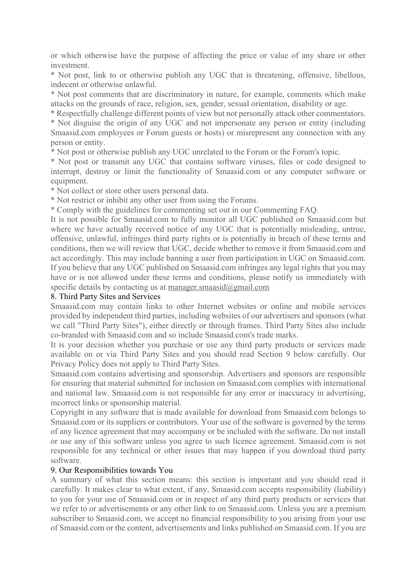or which otherwise have the purpose of affecting the price or value of any share or other investment.

\* Not post, link to or otherwise publish any UGC that is threatening, offensive, libellous, indecent or otherwise unlawful.

\* Not post comments that are discriminatory in nature, for example, comments which make attacks on the grounds of race, religion, sex, gender, sexual orientation, disability or age.

\* Respectfully challenge different points of view but not personally attack other commentators.

\* Not disguise the origin of any UGC and not impersonate any person or entity (including Smaasid.com employees or Forum guests or hosts) or misrepresent any connection with any person or entity.

\* Not post or otherwise publish any UGC unrelated to the Forum or the Forum's topic.

\* Not post or transmit any UGC that contains software viruses, files or code designed to interrupt, destroy or limit the functionality of Smaasid.com or any computer software or equipment.

\* Not collect or store other users personal data.

\* Not restrict or inhibit any other user from using the Forums.

\* Comply with the guidelines for commenting set out in our Commenting FAQ.

It is not possible for Smaasid.com to fully monitor all UGC published on Smaasid.com but where we have actually received notice of any UGC that is potentially misleading, untrue, offensive, unlawful, infringes third party rights or is potentially in breach of these terms and conditions, then we will review that UGC, decide whether to remove it from Smaasid.com and act accordingly. This may include banning a user from participation in UGC on Smaasid.com. If you believe that any UGC published on Smaasid.com infringes any legal rights that you may have or is not allowed under these terms and conditions, please notify us immediately with specific details by contacting us at manager.smaasid@gmail.com

#### 8. Third Party Sites and Services

Smaasid.com may contain links to other Internet websites or online and mobile services provided by independent third parties, including websites of our advertisers and sponsors (what we call "Third Party Sites"), either directly or through frames. Third Party Sites also include co-branded with Smaasid.com and so include Smaasid.com's trade marks.

It is your decision whether you purchase or use any third party products or services made available on or via Third Party Sites and you should read Section 9 below carefully. Our Privacy Policy does not apply to Third Party Sites.

Smaasid.com contains advertising and sponsorship. Advertisers and sponsors are responsible for ensuring that material submitted for inclusion on Smaasid.com complies with international and national law. Smaasid.com is not responsible for any error or inaccuracy in advertising, incorrect links or sponsorship material.

Copyright in any software that is made available for download from Smaasid.com belongs to Smaasid.com or its suppliers or contributors. Your use of the software is governed by the terms of any licence agreement that may accompany or be included with the software. Do not install or use any of this software unless you agree to such licence agreement. Smaasid.com is not responsible for any technical or other issues that may happen if you download third party software.

### 9. Our Responsibilities towards You

A summary of what this section means: this section is important and you should read it carefully. It makes clear to what extent, if any, Smaasid.com accepts responsibility (liability) to you for your use of Smaasid.com or in respect of any third party products or services that we refer to or advertisements or any other link to on Smaasid.com. Unless you are a premium subscriber to Smaasid.com, we accept no financial responsibility to you arising from your use of Smaasid.com or the content, advertisements and links published on Smaasid.com. If you are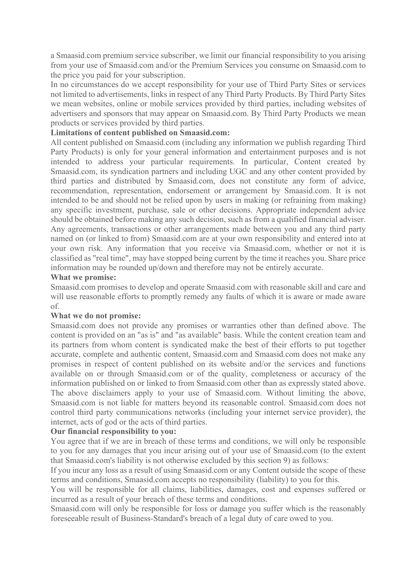a Smaasid.com premium service subscriber, we limit our financial responsibility to you arising from your use of Smaasid.com and/or the Premium Services you consume on Smaasid.com to the price you paid for your subscription.

In no circumstances do we accept responsibility for your use of Third Party Sites or services not limited to advertisements, links in respect of any Third Party Products. By Third Party Sites we mean websites, online or mobile services provided by third parties, including websites of advertisers and sponsors that may appear on Smaasid.com. By Third Party Products we mean products or services provided by third parties.

# **Limitations of content published on Smaasid.com:**

All content published on Smaasid.com (including any information we publish regarding Third Party Products) is only for your general information and entertainment purposes and is not intended to address your particular requirements. In particular, Content created by Smaasid.com, its syndication partners and including UGC and any other content provided by third parties and distributed by Smaasid.com, does not constitute any form of advice, recommendation, representation, endorsement or arrangement by Smaasid.com. It is not intended to be and should not be relied upon by users in making (or refraining from making) any specific investment, purchase, sale or other decisions. Appropriate independent advice should be obtained before making any such decision, such as from a qualified financial adviser. Any agreements, transactions or other arrangements made between you and any third party named on (or linked to from) Smaasid.com are at your own responsibility and entered into at your own risk. Any information that you receive via Smaasid.com, whether or not it is classified as "real time", may have stopped being current by the time it reaches you. Share price information may be rounded up/down and therefore may not be entirely accurate.

### **What we promise:**

Smaasid.com promises to develop and operate Smaasid.com with reasonable skill and care and will use reasonable efforts to promptly remedy any faults of which it is aware or made aware of.

### **What we do not promise:**

Smaasid.com does not provide any promises or warranties other than defined above. The content is provided on an "as is" and "as available" basis. While the content creation team and its partners from whom content is syndicated make the best of their efforts to put together accurate, complete and authentic content, Smaasid.com and Smaasid.com does not make any promises in respect of content published on its website and/or the services and functions available on or through Smaasid.com or of the quality, completeness or accuracy of the information published on or linked to from Smaasid.com other than as expressly stated above. The above disclaimers apply to your use of Smaasid.com. Without limiting the above, Smaasid.com is not liable for matters beyond its reasonable control. Smaasid.com does not control third party communications networks (including your internet service provider), the internet, acts of god or the acts of third parties.

### **Our financial responsibility to you:**

You agree that if we are in breach of these terms and conditions, we will only be responsible to you for any damages that you incur arising out of your use of Smaasid.com (to the extent that Smaasid.com's liability is not otherwise excluded by this section 9) as follows:

If you incur any loss as a result of using Smaasid.com or any Content outside the scope of these terms and conditions, Smaasid.com accepts no responsibility (liability) to you for this.

You will be responsible for all claims, liabilities, damages, cost and expenses suffered or incurred as a result of your breach of these terms and conditions.

Smaasid.com will only be responsible for loss or damage you suffer which is the reasonably foreseeable result of Business-Standard's breach of a legal duty of care owed to you.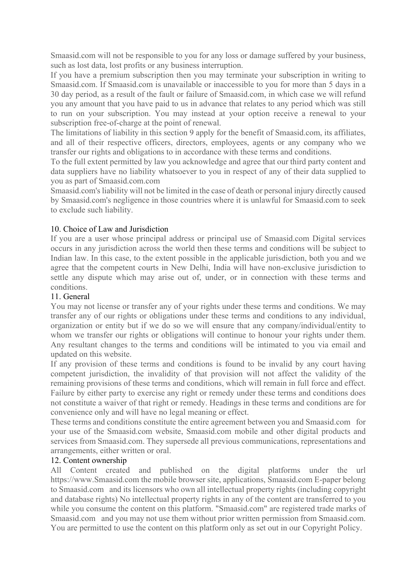Smaasid.com will not be responsible to you for any loss or damage suffered by your business, such as lost data, lost profits or any business interruption.

If you have a premium subscription then you may terminate your subscription in writing to Smaasid.com. If Smaasid.com is unavailable or inaccessible to you for more than 5 days in a 30 day period, as a result of the fault or failure of Smaasid.com, in which case we will refund you any amount that you have paid to us in advance that relates to any period which was still to run on your subscription. You may instead at your option receive a renewal to your subscription free-of-charge at the point of renewal.

The limitations of liability in this section 9 apply for the benefit of Smaasid.com, its affiliates, and all of their respective officers, directors, employees, agents or any company who we transfer our rights and obligations to in accordance with these terms and conditions.

To the full extent permitted by law you acknowledge and agree that our third party content and data suppliers have no liability whatsoever to you in respect of any of their data supplied to you as part of Smaasid.com.com

Smaasid.com's liability will not be limited in the case of death or personal injury directly caused by Smaasid.com's negligence in those countries where it is unlawful for Smaasid.com to seek to exclude such liability.

# 10. Choice of Law and Jurisdiction

If you are a user whose principal address or principal use of Smaasid.com Digital services occurs in any jurisdiction across the world then these terms and conditions will be subject to Indian law. In this case, to the extent possible in the applicable jurisdiction, both you and we agree that the competent courts in New Delhi, India will have non-exclusive jurisdiction to settle any dispute which may arise out of, under, or in connection with these terms and conditions.

# 11. General

You may not license or transfer any of your rights under these terms and conditions. We may transfer any of our rights or obligations under these terms and conditions to any individual, organization or entity but if we do so we will ensure that any company/individual/entity to whom we transfer our rights or obligations will continue to honour your rights under them. Any resultant changes to the terms and conditions will be intimated to you via email and updated on this website.

If any provision of these terms and conditions is found to be invalid by any court having competent jurisdiction, the invalidity of that provision will not affect the validity of the remaining provisions of these terms and conditions, which will remain in full force and effect. Failure by either party to exercise any right or remedy under these terms and conditions does not constitute a waiver of that right or remedy. Headings in these terms and conditions are for convenience only and will have no legal meaning or effect.

These terms and conditions constitute the entire agreement between you and Smaasid.com for your use of the Smaasid.com website, Smaasid.com mobile and other digital products and services from Smaasid.com. They supersede all previous communications, representations and arrangements, either written or oral.

### 12. Content ownership

All Content created and published on the digital platforms under the url https://www.Smaasid.com the mobile browser site, applications, Smaasid.com E-paper belong to Smaasid.com and its licensors who own all intellectual property rights (including copyright and database rights) No intellectual property rights in any of the content are transferred to you while you consume the content on this platform. "Smaasid.com" are registered trade marks of Smaasid.com and you may not use them without prior written permission from Smaasid.com. You are permitted to use the content on this platform only as set out in our Copyright Policy.